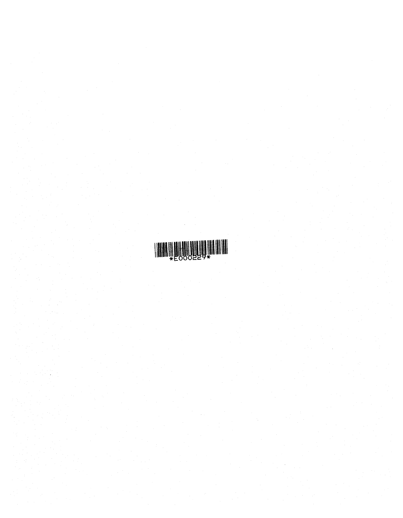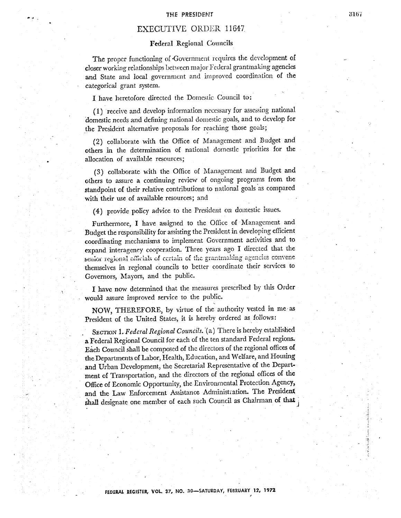## THE PRESIDENT

## EXECUTIVE ORDER 11647

## Federal Regional Councils

The proper functioning of Government requires the development of closer working relationships between major Federal grantmaking agencies and State and local government and improved coordination of the categorical grant system.

I have heretofore directed the Domestic Council to:

(1) receive and develop information necessary for assessing national domestic needs and defining national domestic goals, and to develop for the President alternative proposals for reaching those goals;

(2) collaborate with the Office of Management and Budget and others in the determination of national domestic priorities for the allocation of available resources;

(3) collaborate with the Office of Management and Budget and others to assure a continuing review of ongoing programs from the standpoint of their relative contributions to national goals as compared with their use of available resources; and

(4) provide policy advice to the President on domestic issues.

Furthermore, I have assigned to the Office of Management and Budget the responsibility for assisting the President in developing efficient coordinating mechanisms to implement Government activities and to expand interagency cooperation. Three years ago I directed that the senior regional officials of certain of the grantmaking agencies convene themselves in regional councils to better coordinate their services to Governors, Mayors, and the public.

I have now determined that the measures prescribed by this Order would assure improved service to the public.

NOW, THEREFORE, by virtue of the authority vested in me as President of the United States, it is hereby ordered as follows:

SECTION 1. Federal Regional Councils. (a) There is hereby established a Federal Regional Council for each of the ten standard Federal regions. Each Council shall be composed of the directors of the regional offices of the Departments of Labor, Health, Education, and Welfare, and Housing and Urban Development, the Secretarial Representative of the Department of Transportation, and the directors of the regional offices of the Office of Economic Opportunity, the Environmental Protection Agency, and the Law Enforcement Assistance Administration. The President shall designate one member of each such Council as Chairman of that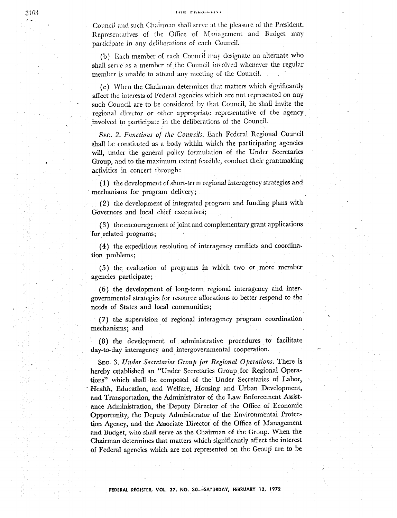Council and such Chairman shall serve at the pleasure of the President. Representatives of the Office of Management and Budget may participate in any deliberations of each Council.

(b) Each member of each Council may designate an alternate who shall serve as a member of the Council involved whenever the regular member is unable to attend any meeting of the Council.

(c) When the Chairman determines that matters which significantly affect the interests of Federal agencies which are not represented on any such Council are to be considered by that Council, he shall invite the regional director or other appropriate representative of the agency involved to participate in the deliberations of the Council.

SEC. 2. Functions of the Councils. Each Federal Regional Council shall be constituted as a body within which the participating agencies will, under the general policy formulation of the Under Secretaries Group, and to the maximum extent feasible, conduct their grantmaking activities in concert through:

(1) the development of short-term regional interagency strategies and mechanisms for program delivery;

(2) the development of integrated program and funding plans with Governors and local chief executives;

(3) the encouragement of joint and complementary grant applications for related programs;

(4) the expeditious resolution of interagency conflicts and coordination problems;

(5) the evaluation of programs in which two or more member agencies participate;

(6) the development of long-term regional interagency and intergovernmental strategies for resource allocations to better respond to the needs of States and local communities;

(7) the supervision of regional interagency program coordination mechanisms; and

(8) the development of administrative procedures to facilitate day-to-day interagency and intergovernmental cooperation.

SEC. 3. Under Secretaries Group for Regional Operations. There is hereby established an "Under Secretaries Group for Regional Operations" which shall be composed of the Under Secretaries of Labor, Health, Education, and Welfare, Housing and Urban Development, and Transportation, the Administrator of the Law Enforcement Assistance Administration, the Deputy Director of the Office of Economic Opportunity, the Deputy Administrator of the Environmental Protection Agency, and the Associate Director of the Office of Management and Budget, who shall serve as the Chairman of the Group. When the Chairman determines that matters which significantly affect the interest of Federal agencies which are not represented on the Group are to be